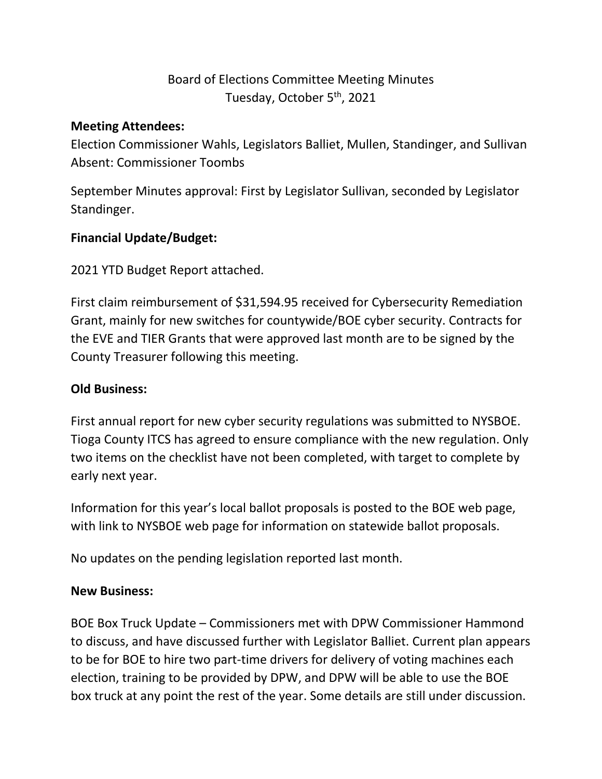# Board of Elections Committee Meeting Minutes Tuesday, October 5<sup>th</sup>, 2021

#### **Meeting Attendees:**

Election Commissioner Wahls, Legislators Balliet, Mullen, Standinger, and Sullivan Absent: Commissioner Toombs

September Minutes approval: First by Legislator Sullivan, seconded by Legislator Standinger.

## **Financial Update/Budget:**

2021 YTD Budget Report attached.

First claim reimbursement of \$31,594.95 received for Cybersecurity Remediation Grant, mainly for new switches for countywide/BOE cyber security. Contracts for the EVE and TIER Grants that were approved last month are to be signed by the County Treasurer following this meeting.

## **Old Business:**

First annual report for new cyber security regulations was submitted to NYSBOE. Tioga County ITCS has agreed to ensure compliance with the new regulation. Only two items on the checklist have not been completed, with target to complete by early next year.

Information for this year's local ballot proposals is posted to the BOE web page, with link to NYSBOE web page for information on statewide ballot proposals.

No updates on the pending legislation reported last month.

#### **New Business:**

BOE Box Truck Update – Commissioners met with DPW Commissioner Hammond to discuss, and have discussed further with Legislator Balliet. Current plan appears to be for BOE to hire two part-time drivers for delivery of voting machines each election, training to be provided by DPW, and DPW will be able to use the BOE box truck at any point the rest of the year. Some details are still under discussion.